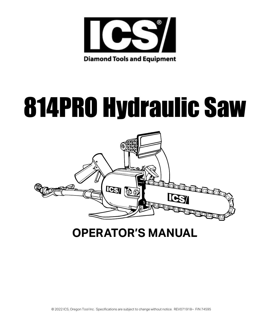

**Diamond Tools and Equipment** 

# 814PRO Hydraulic Saw



# **OPERATOR'S MANUAL**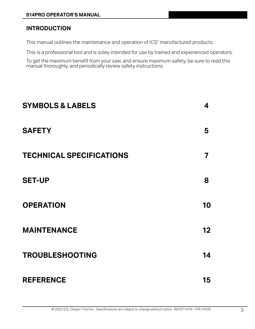## **INTRODUCTION**

This manual outlines the maintenance and operation of ICS<sup>®</sup> manufactured products.

This is a professional tool and is soley intended for use by trained and experienced operators.

To get the maximum benefit from your saw, and ensure maximum safety, be sure to read this manual thoroughly, and periodically review safety instructions.

| <b>SYMBOLS &amp; LABELS</b>     | 4               |
|---------------------------------|-----------------|
| <b>SAFETY</b>                   | 5               |
| <b>TECHNICAL SPECIFICATIONS</b> | 7               |
| <b>SET-UP</b>                   | 8               |
| <b>OPERATION</b>                | 10              |
| <b>MAINTENANCE</b>              | 12 <sub>2</sub> |
| <b>TROUBLESHOOTING</b>          | 14              |
| <b>REFERENCE</b>                | 15              |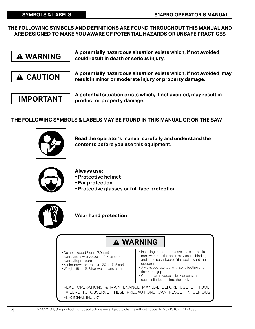#### **SYMBOLS & LABELS**

**THE FOLLOWING SYMBOLS AND DEFINITIONS ARE FOUND THROUGHOUT THIS MANUAL AND ARE DESIGNED TO MAKE YOU AWARE OF POTENTIAL HAZARDS OR UNSAFE PRACTICES** 

 **WARNING**

 **CAUTION**

**A potentially hazardous situation exists which, if not avoided, could result in death or serious injury.**

**A potentially hazardous situation exists which, if not avoided, may result in minor or moderate injury or property damage.** 

**814PRO OPERATOR'S MANUAL**

**IMPORTANT**

**A potential situation exists which, if not avoided, may result in product or property damage.** 

#### **THE FOLLOWING SYMBOLS & LABELS MAY BE FOUND IN THIS MANUAL OR ON THE SAW**



**Read the operator's manual carefully and understand the contents before you use this equipment.** 



**Always use:** 

- **Protective helmet**
- **Ear protection**
- **Protective glasses or full face protection**



**Wear hand protection** 

## � **WARNING**

- Do not exceed 8 gpm (30 lpm) hydraulic flow at 2,500 psi (172.5 bar) hydraulic pressure
- Minimum water pressure 20 psi (1.5 bar) • Weight 15 lbs (6.8 kg) w/o bar and chain
- 
- Inserting the tool into a pre-cut slot that is narrower than the chain may cause binding and rapid push-back of the tool toward the operator
	- Always operate tool with solid footing and firm hand grip
	- Contact at a hydraulic leak or burst can cause oil injection into the body

READ OPERATIONS & MAINTENANCE MANUAL BEFORE USE OF TOOL. FAILURE TO OBSERVE THESE PRECAUTIONS CAN RESULT IN SERIOUS PERSONAL INJURY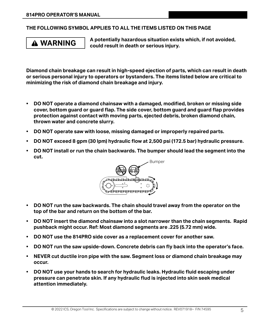#### **THE FOLLOWING SYMBOL APPLIES TO ALL THE ITEMS LISTED ON THIS PAGE**

# **WARNING**

**A potentially hazardous situation exists which, if not avoided, could result in death or serious injury.**

**Diamond chain breakage can result in high-speed ejection of parts, which can result in death or serious personal injury to operators or bystanders. The items listed below are critical to minimizing the risk of diamond chain breakage and injury.** 

- **• DO NOT operate a diamond chainsaw with a damaged, modified, broken or missing side cover, bottom guard or guard flap. The side cover, bottom guard and guard flap provides protection against contact with moving parts, ejected debris, broken diamond chain, thrown water and concrete slurry.**
- **• DO NOT operate saw with loose, missing damaged or improperly repaired parts.**
- **• DO NOT exceed 8 gpm (30 lpm) hydraulic flow at 2,500 psi (172.5 bar) hydraulic pressure.**
- **• DO NOT install or run the chain backwards. The bumper should lead the segment into the cut.**



- **• DO NOT run the saw backwards. The chain should travel away from the operator on the top of the bar and return on the bottom of the bar.**
- **• DO NOT insert the diamond chainsaw into a slot narrower than the chain segments. Rapid pushback might occur. Ref: Most diamond segments are .225 (5.72 mm) wide.**
- **• DO NOT use the 814PRO side cover as a replacement cover for another saw.**
- **• DO NOT run the saw upside-down. Concrete debris can fly back into the operator's face.**
- **• NEVER cut ductile iron pipe with the saw. Segment loss or diamond chain breakage may occur.**
- **• DO NOT use your hands to search for hydraulic leaks. Hydraulic fluid escaping under pressure can penetrate skin. If any hydraulic flud is injected into skin seek medical attention immediately.**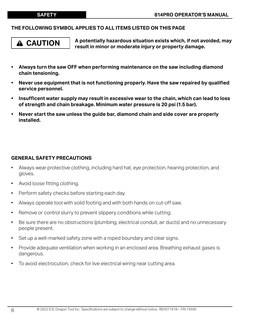#### **THE FOLLOWING SYMBOL APPLIES TO ALL ITEMS LISTED ON THIS PAGE**

# **CAUTION**

**A potentially hazardous situation exists which, if not avoided, may result in minor or moderate injury or property damage.** 

- **• Always turn the saw OFF when performing maintenance on the saw including diamond chain tensioning.**
- **• Never use equipment that is not functioning properly. Have the saw repaired by qualified service personnel.**
- **• Insufficent water supply may result in excessive wear to the chain, which can lead to loss of strength and chain breakage. Minimum water pressure is 20 psi (1.5 bar).**
- **• Never start the saw unless the guide bar, diamond chain and side cover are properly installed.**

#### **GENERAL SAFETY PRECAUTIONS**

- Always wear protective clothing, including hard hat, eye protection, hearing protection, and gloves.
- Avoid loose fitting clothing.
- Perform safety checks before starting each day.
- Always operate tool with solid footing and with both hands on cut-off saw.
- Remove or control slurry to prevent slippery conditions while cutting.
- Be sure there are no obstructions (plumbing, electrical conduit, air ducts) and no unnecessary people present.
- Set up a well-marked safety zone with a roped boundary and clear signs.
- Provide adequate ventilation when working in an enclosed area. Breathing exhaust gases is dangerous.
- To avoid electrocution, check for live electrical wiring near cutting area.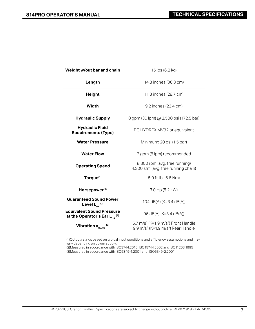| Weight w/out bar and chain                                               | 15 lbs (6.8 kg)                                                                                                           |
|--------------------------------------------------------------------------|---------------------------------------------------------------------------------------------------------------------------|
| Length                                                                   | 14.3 inches (36.3 cm)                                                                                                     |
| <b>Height</b>                                                            | 11.3 inches (28.7 cm)                                                                                                     |
| Width                                                                    | 9.2 inches (23.4 cm)                                                                                                      |
| <b>Hydraulic Supply</b>                                                  | 8 gpm (30 lpm) @ 2,500 psi (172.5 bar)                                                                                    |
| <b>Hydraulic Fluid</b><br><b>Requirements (Type)</b>                     | PC HYDREX MV32 or equivalent                                                                                              |
| <b>Water Pressure</b>                                                    | Minimum: 20 psi (1.5 bar)                                                                                                 |
| <b>Water Flow</b>                                                        | 2 gpm (8 lpm) recommended                                                                                                 |
| <b>Operating Speed</b>                                                   | 8,800 rpm (avg. free running)<br>4,300 sfm (avg. free running chain)                                                      |
| Torque <sup>(1)</sup>                                                    | 5.0 ft-lb. (6.6 Nm)                                                                                                       |
| Horsepower <sup>(1)</sup>                                                | 7.0 Hp (5.2 kW)                                                                                                           |
| <b>Guaranteed Sound Power</b><br>Level $L_{wa}$ <sup>(2)</sup>           | 104 dB(A) (K=3.4 dB(A))                                                                                                   |
| <b>Equivalent Sound Pressure</b><br>at the Operator's Ear $L_{pA}^{(2)}$ | 96 dB(A) (K=3.4 dB(A))                                                                                                    |
| Vibration a <sub>hv, eq</sub>                                            | 5.7 m/s <sup>2</sup> (K=1.9 m/s <sup>2</sup> ) Front Handle<br>9.9 m/s <sup>2</sup> (K=1.9 m/s <sup>2</sup> ) Rear Handle |

Т

(1)Output ratings based on typical input conditions and efficiency assumptions and may vary depending on power supply.

(2)Measured in accordance with ISO3744:2010, ISO15744:2002 and ISO11203:1995 (3)Measured in accordance with ISO5349-1:2001 and 1SO5349-2:2001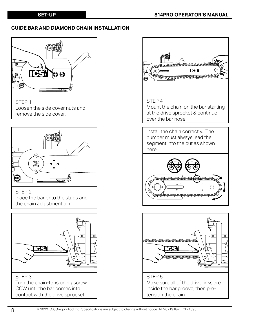#### **GUIDE BAR AND DIAMOND CHAIN INSTALLATION**



(SRS) STEP 2

Place the bar onto the studs and the chain adjustment pin.



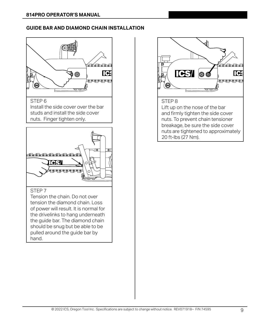#### **GUIDE BAR AND DIAMOND CHAIN INSTALLATION**



#### STEP 6

Install the side cover over the bar studs and install the side cover nuts. Finger tighten only.



#### STEP 7

Tension the chain. Do not over tension the diamond chain. Loss of power will result. It is normal for the drivelinks to hang underneath the guide bar. The diamond chain should be snug but be able to be pulled around the guide bar by hand.

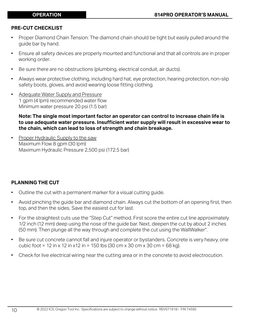#### **PRE-CUT CHECKLIST**

- Proper Diamond Chain Tension: The diamond chain should be tight but easily pulled around the guide bar by hand.
- Ensure all safety devices are properly mounted and functional and that all controls are in proper working order.
- Be sure there are no obstructions (plumbing, electrical conduit, air ducts).
- Always wear protective clothing, including hard hat, eye protection, hearing protection, non-slip safety boots, gloves, and avoid wearing loose fitting clothing.
- Adequate Water Supply and Pressure 1 gpm (4 lpm) recommended water flow Minimum water pressure 20 psi (1.5 bar)

#### **Note: The single most important factor an operator can control to increase chain life is to use adequate water pressure. Insufficient water supply will result in excessive wear to the chain, which can lead to loss of strength and chain breakage.**

• Proper Hydraulic Supply to the saw Maximum Flow 8 gpm (30 lpm) Maximum Hydraulic Pressure 2,500 psi (172.5 bar)

#### **PLANNING THE CUT**

- Outline the cut with a permanent marker for a visual cutting guide.
- Avoid pinching the guide bar and diamond chain. Always cut the bottom of an opening first, then top, and then the sides. Save the easiest cut for last.
- For the straightest cuts use the "Step Cut" method. First score the entire cut line approximately 1/2 inch (12 mm) deep using the nose of the guide bar. Next, deepen the cut by about 2 inches (50 mm). Then plunge all the way through and complete the cut using the WallWalker<sup>®</sup>. .
- Be sure cut concrete cannot fall and injure operator or bystanders. Concrete is very heavy, one cubic foot = 12 in x 12 in x12 in = 150 lbs (30 cm x 30 cm x 30 cm = 68 kg).
- Check for live electrical wiring near the cutting area or in the concrete to avoid electrocution.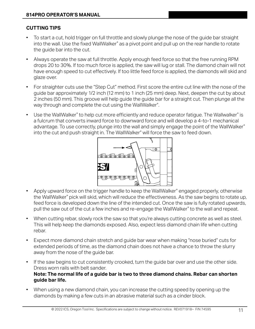### **CUTTING TIPS**

- To start a cut, hold trigger on full throttle and slowly plunge the nose of the guide bar straight into the wall. Use the fixed WallWalker® as a pivot point and pull up on the rear handle to rotate the guide bar into the cut.
- Always operate the saw at full throttle. Apply enough feed force so that the free running RPM drops 20 to 30%. If too much force is applied, the saw will lug or stall. The diamond chain will not have enough speed to cut effectively. If too little feed force is applied, the diamonds will skid and glaze over.
- For straighter cuts use the "Step Cut" method. First score the entire cut line with the nose of the guide bar approximately 1/2 inch (12 mm) to 1 inch (25 mm) deep. Next, deepen the cut by about 2 inches (50 mm). This groove will help guide the guide bar for a straight cut. Then plunge all the way through and complete the cut using the WallWalker<sup>®</sup>. .
- Use the WallWalker® to help cut more efficiently and reduce operator fatigue. The Wallwalker® is a fulcrum that converts inward force to downward force and will develop a 4-to-1 mechanical advantage. To use correctly, plunge into the wall and simply engage the point of the WallWalker® into the cut and push straight in. The WallWalker® will force the saw to feed down.



- Apply upward force on the trigger handle to keep the WallWalker® engaged properly, otherwise the WallWalker® pick will skid, which will reduce the effectiveness. As the saw begins to rotate up, feed force is developed down the line of the intended cut. Once the saw is fully rotated upwards, pull the saw out of the cut a few inches and re-engage the WallWalker® to the wall and repeat.
- When cutting rebar, slowly rock the saw so that you're always cutting concrete as well as steel. This will help keep the diamonds exposed. Also, expect less diamond chain life when cutting rebar.
- Expect more diamond chain stretch and guide bar wear when making "nose buried" cuts for extended periods of time, as the diamond chain does not have a chance to throw the slurry away from the nose of the guide bar.
- If the saw begins to cut consistently crooked, turn the guide bar over and use the other side. Dress worn rails with belt sander. **Note: The normal life of a guide bar is two to three diamond chains. Rebar can shorten guide bar life.**
- When using a new diamond chain, you can increase the cutting speed by opening up the diamonds by making a few cuts in an abrasive material such as a cinder block.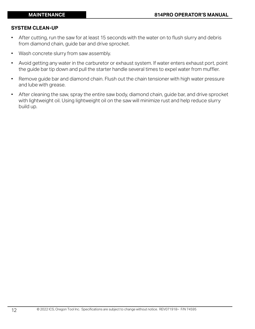#### **SYSTEM CLEAN-UP**

- After cutting, run the saw for at least 15 seconds with the water on to flush slurry and debris from diamond chain, guide bar and drive sprocket.
- Wash concrete slurry from saw assembly.
- Avoid getting any water in the carburetor or exhaust system. If water enters exhaust port, point the guide bar tip down and pull the starter handle several times to expel water from muffler.
- Remove guide bar and diamond chain. Flush out the chain tensioner with high water pressure and lube with grease.
- After cleaning the saw, spray the entire saw body, diamond chain, guide bar, and drive sprocket with lightweight oil. Using lightweight oil on the saw will minimize rust and help reduce slurry build up.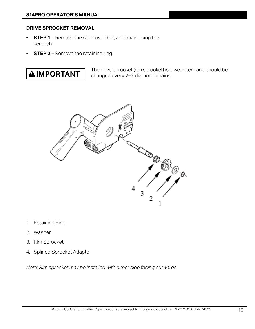#### **DRIVE SPROCKET REMOVAL**

- **STEP 1** Remove the sidecover, bar, and chain using the scrench.
- **STEP 2** Remove the retaining ring.



The drive sprocket (rim sprocket) is a wear item and should be changed every 2–3 diamond chains.



- 1. Retaining Ring
- 2. Washer
- 3. Rim Sprocket
- 4. Splined Sprocket Adaptor

*Note: Rim sprocket may be installed with either side facing outwards.*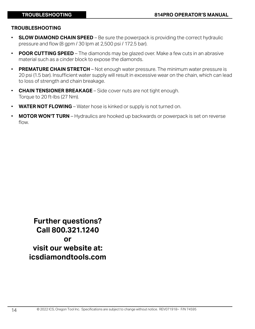#### **TROUBLESHOOTING**

- **SLOW DIAMOND CHAIN SPEED** Be sure the powerpack is providing the correct hydraulic pressure and flow (8 gpm / 30 lpm at 2,500 psi / 172.5 bar).
- **POOR CUTTING SPEED** The diamonds may be glazed over. Make a few cuts in an abrasive material such as a cinder block to expose the diamonds.
- **PREMATURE CHAIN STRETCH** Not enough water pressure. The minimum water pressure is 20 psi (1.5 bar). Insufficient water supply will result in excessive wear on the chain, which can lead to loss of strength and chain breakage.
- **CHAIN TENSIONER BREAKAGE** Side cover nuts are not tight enough. Torque to 20 ft-lbs (27 Nm).
- **WATER NOT FLOWING** Water hose is kinked or supply is not turned on.
- **MOTOR WON'T TURN** Hydraulics are hooked up backwards or powerpack is set on reverse flow.

**Further questions? Call 800.321.1240 or visit our website at: icsdiamondtools.com**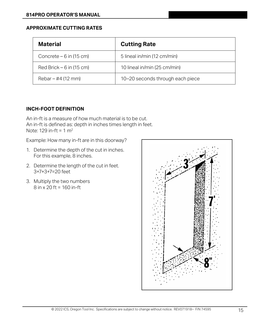#### **APPROXIMATE CUTTING RATES**

| <b>Material</b>            | <b>Cutting Rate</b>              |
|----------------------------|----------------------------------|
| Concrete $-6$ in (15 cm)   | 5 lineal in/min (12 cm/min)      |
| $Red$ Brick – 6 in (15 cm) | 10 lineal in/min (25 cm/min)     |
| Rebar – #4 (12 mm)         | 10-20 seconds through each piece |

#### **INCH-FOOT DEFINITION**

An in-ft is a measure of how much material is to be cut. An in-ft is defined as: depth in inches times length in feet. Note: 129 in-ft = 1 $m<sup>2</sup>$ 

Example: How many in-ft are in this doorway?

- 1. Determine the depth of the cut in inches. For this example, 8 inches.
- 2. Determine the length of the cut in feet. 3+7+3+7=20 feet
- 3. Multiply the two numbers 8 in x 20 ft = 160 in-ft

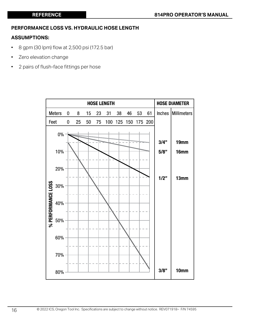#### **PERFORMANCE LOSS VS. HYDRAULIC HOSE LENGTH**

#### **ASSUMPTIONS:**

- 8 gpm (30 lpm) flow at 2,500 psi (172.5 bar)
- Zero elevation change
- 2 pairs of flush-face fittings per hose